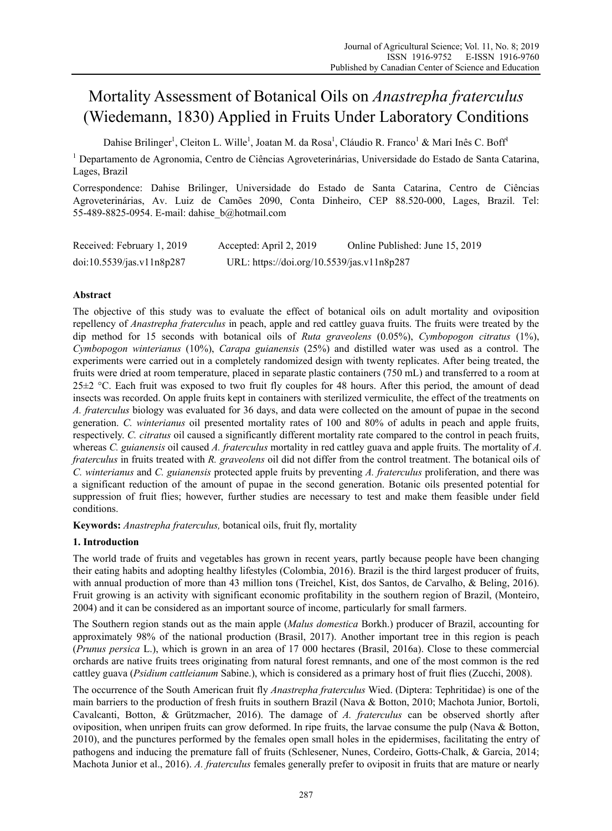# Mortality Assessment of Botanical Oils on *Anastrepha fraterculus* (Wiedemann, 1830) Applied in Fruits Under Laboratory Conditions

Dahise Brilinger<sup>1</sup>, Cleiton L. Wille<sup>1</sup>, Joatan M. da Rosa<sup>1</sup>, Cláudio R. Franco<sup>1</sup> & Mari Inês C. Boff<sup>1</sup>

<sup>1</sup> Departamento de Agronomia, Centro de Ciências Agroveterinárias, Universidade do Estado de Santa Catarina, Lages, Brazil

Correspondence: Dahise Brilinger, Universidade do Estado de Santa Catarina, Centro de Ciências Agroveterinárias, Av. Luiz de Camões 2090, Conta Dinheiro, CEP 88.520-000, Lages, Brazil. Tel: 55-489-8825-0954. E-mail: dahise\_b@hotmail.com

| Received: February 1, 2019 | Accepted: April 2, 2019                    | Online Published: June 15, 2019 |
|----------------------------|--------------------------------------------|---------------------------------|
| doi:10.5539/jas.v11n8p287  | URL: https://doi.org/10.5539/jas.v11n8p287 |                                 |

# **Abstract**

The objective of this study was to evaluate the effect of botanical oils on adult mortality and oviposition repellency of *Anastrepha fraterculus* in peach, apple and red cattley guava fruits. The fruits were treated by the dip method for 15 seconds with botanical oils of *Ruta graveolens* (0.05%), *Cymbopogon citratus* (1%), *Cymbopogon winterianus* (10%), *Carapa guianensis* (25%) and distilled water was used as a control. The experiments were carried out in a completely randomized design with twenty replicates. After being treated, the fruits were dried at room temperature, placed in separate plastic containers (750 mL) and transferred to a room at 25±2 °C. Each fruit was exposed to two fruit fly couples for 48 hours. After this period, the amount of dead insects was recorded. On apple fruits kept in containers with sterilized vermiculite, the effect of the treatments on *A. fraterculus* biology was evaluated for 36 days, and data were collected on the amount of pupae in the second generation. *C. winterianus* oil presented mortality rates of 100 and 80% of adults in peach and apple fruits, respectively. *C. citratus* oil caused a significantly different mortality rate compared to the control in peach fruits, whereas *C. guianensis* oil caused *A. fraterculus* mortality in red cattley guava and apple fruits. The mortality of *A. fraterculus* in fruits treated with *R. graveolens* oil did not differ from the control treatment. The botanical oils of *C. winterianus* and *C. guianensis* protected apple fruits by preventing *A. fraterculus* proliferation, and there was a significant reduction of the amount of pupae in the second generation. Botanic oils presented potential for suppression of fruit flies; however, further studies are necessary to test and make them feasible under field conditions.

**Keywords:** *Anastrepha fraterculus,* botanical oils, fruit fly, mortality

# **1. Introduction**

The world trade of fruits and vegetables has grown in recent years, partly because people have been changing their eating habits and adopting healthy lifestyles (Colombia, 2016). Brazil is the third largest producer of fruits, with annual production of more than 43 million tons (Treichel, Kist, dos Santos, de Carvalho, & Beling, 2016). Fruit growing is an activity with significant economic profitability in the southern region of Brazil, (Monteiro, 2004) and it can be considered as an important source of income, particularly for small farmers.

The Southern region stands out as the main apple (*Malus domestica* Borkh.) producer of Brazil, accounting for approximately 98% of the national production (Brasil, 2017). Another important tree in this region is peach (*Prunus persica* L.), which is grown in an area of 17 000 hectares (Brasil, 2016a). Close to these commercial orchards are native fruits trees originating from natural forest remnants, and one of the most common is the red cattley guava (*Psidium cattleianum* Sabine.), which is considered as a primary host of fruit flies (Zucchi, 2008).

The occurrence of the South American fruit fly *Anastrepha fraterculus* Wied. (Diptera: Tephritidae) is one of the main barriers to the production of fresh fruits in southern Brazil (Nava & Botton, 2010; Machota Junior, Bortoli, Cavalcanti, Botton, & Grützmacher, 2016). The damage of *A. fraterculus* can be observed shortly after oviposition, when unripen fruits can grow deformed. In ripe fruits, the larvae consume the pulp (Nava & Botton, 2010), and the punctures performed by the females open small holes in the epidermises, facilitating the entry of pathogens and inducing the premature fall of fruits (Schlesener, Nunes, Cordeiro, Gotts-Chalk, & Garcia, 2014; Machota Junior et al., 2016). *A. fraterculus* females generally prefer to oviposit in fruits that are mature or nearly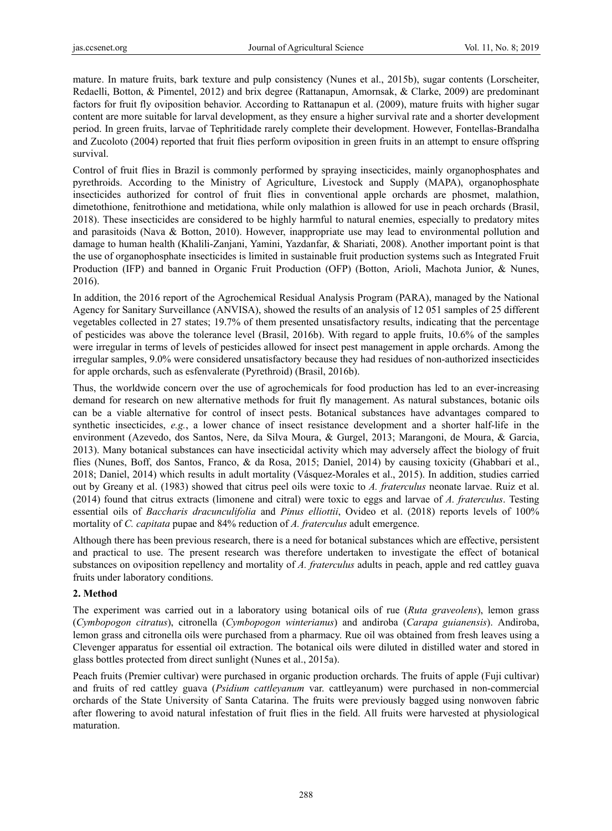mature. In mature fruits, bark texture and pulp consistency (Nunes et al., 2015b), sugar contents (Lorscheiter, Redaelli, Botton, & Pimentel, 2012) and brix degree (Rattanapun, Amornsak, & Clarke, 2009) are predominant factors for fruit fly oviposition behavior. According to Rattanapun et al. (2009), mature fruits with higher sugar content are more suitable for larval development, as they ensure a higher survival rate and a shorter development period. In green fruits, larvae of Tephritidade rarely complete their development. However, Fontellas-Brandalha and Zucoloto (2004) reported that fruit flies perform oviposition in green fruits in an attempt to ensure offspring survival.

Control of fruit flies in Brazil is commonly performed by spraying insecticides, mainly organophosphates and pyrethroids. According to the Ministry of Agriculture, Livestock and Supply (MAPA), organophosphate insecticides authorized for control of fruit flies in conventional apple orchards are phosmet, malathion, dimetothione, fenitrothione and metidationa, while only malathion is allowed for use in peach orchards (Brasil, 2018). These insecticides are considered to be highly harmful to natural enemies, especially to predatory mites and parasitoids (Nava & Botton, 2010). However, inappropriate use may lead to environmental pollution and damage to human health (Khalili-Zanjani, Yamini, Yazdanfar, & Shariati, 2008). Another important point is that the use of organophosphate insecticides is limited in sustainable fruit production systems such as Integrated Fruit Production (IFP) and banned in Organic Fruit Production (OFP) (Botton, Arioli, Machota Junior, & Nunes, 2016).

In addition, the 2016 report of the Agrochemical Residual Analysis Program (PARA), managed by the National Agency for Sanitary Surveillance (ANVISA), showed the results of an analysis of 12 051 samples of 25 different vegetables collected in 27 states; 19.7% of them presented unsatisfactory results, indicating that the percentage of pesticides was above the tolerance level (Brasil, 2016b). With regard to apple fruits, 10.6% of the samples were irregular in terms of levels of pesticides allowed for insect pest management in apple orchards. Among the irregular samples, 9.0% were considered unsatisfactory because they had residues of non-authorized insecticides for apple orchards, such as esfenvalerate (Pyrethroid) (Brasil, 2016b).

Thus, the worldwide concern over the use of agrochemicals for food production has led to an ever-increasing demand for research on new alternative methods for fruit fly management. As natural substances, botanic oils can be a viable alternative for control of insect pests. Botanical substances have advantages compared to synthetic insecticides, *e.g.*, a lower chance of insect resistance development and a shorter half-life in the environment (Azevedo, dos Santos, Nere, da Silva Moura, & Gurgel, 2013; Marangoni, de Moura, & Garcia, 2013). Many botanical substances can have insecticidal activity which may adversely affect the biology of fruit flies (Nunes, Boff, dos Santos, Franco, & da Rosa, 2015; Daniel, 2014) by causing toxicity (Ghabbari et al., 2018; Daniel, 2014) which results in adult mortality (Vásquez-Morales et al., 2015). In addition, studies carried out by Greany et al. (1983) showed that citrus peel oils were toxic to *A. fraterculus* neonate larvae. Ruiz et al. (2014) found that citrus extracts (limonene and citral) were toxic to eggs and larvae of *A. fraterculus*. Testing essential oils of *Baccharis dracunculifolia* and *Pinus elliottii*, Ovideo et al. (2018) reports levels of 100% mortality of *C. capitata* pupae and 84% reduction of *A. fraterculus* adult emergence.

Although there has been previous research, there is a need for botanical substances which are effective, persistent and practical to use. The present research was therefore undertaken to investigate the effect of botanical substances on oviposition repellency and mortality of *A. fraterculus* adults in peach, apple and red cattley guava fruits under laboratory conditions.

## **2. Method**

The experiment was carried out in a laboratory using botanical oils of rue (*Ruta graveolens*), lemon grass (*Cymbopogon citratus*), citronella (*Cymbopogon winterianus*) and andiroba (*Carapa guianensis*). Andiroba, lemon grass and citronella oils were purchased from a pharmacy. Rue oil was obtained from fresh leaves using a Clevenger apparatus for essential oil extraction. The botanical oils were diluted in distilled water and stored in glass bottles protected from direct sunlight (Nunes et al., 2015a).

Peach fruits (Premier cultivar) were purchased in organic production orchards. The fruits of apple (Fuji cultivar) and fruits of red cattley guava (*Psidium cattleyanum* var. cattleyanum) were purchased in non-commercial orchards of the State University of Santa Catarina. The fruits were previously bagged using nonwoven fabric after flowering to avoid natural infestation of fruit flies in the field. All fruits were harvested at physiological maturation.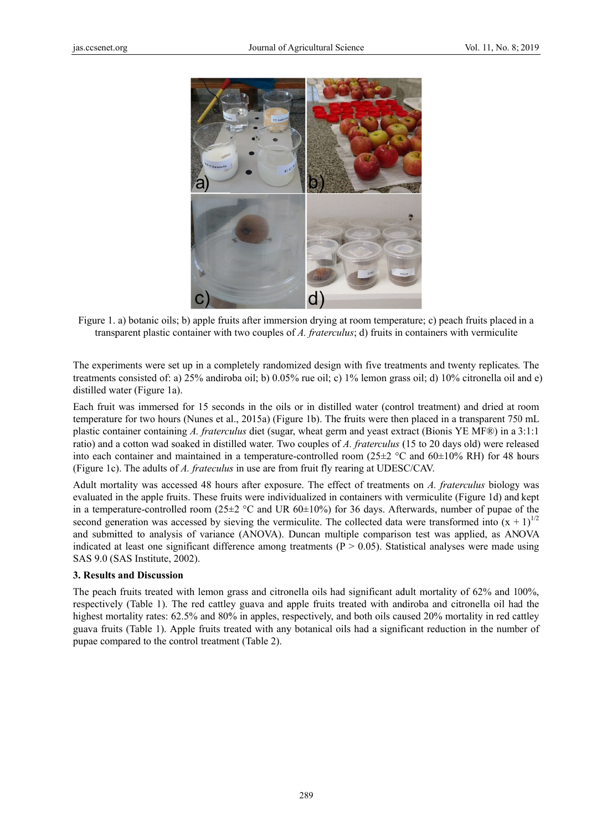

Figure 1. a) botanic oils; b) apple fruits after immersion drying at room temperature; c) peach fruits placed in a transparent plastic container with two couples of *A. fraterculus*; d) fruits in containers with vermiculite

The experiments were set up in a completely randomized design with five treatments and twenty replicates. The treatments consisted of: a) 25% andiroba oil; b) 0.05% rue oil; c) 1% lemon grass oil; d) 10% citronella oil and e) distilled water (Figure 1a).

Each fruit was immersed for 15 seconds in the oils or in distilled water (control treatment) and dried at room temperature for two hours (Nunes et al., 2015a) (Figure 1b). The fruits were then placed in a transparent 750 mL plastic container containing *A. fraterculus* diet (sugar, wheat germ and yeast extract (Bionis YE MF®) in a 3:1:1 ratio) and a cotton wad soaked in distilled water. Two couples of *A. fraterculus* (15 to 20 days old) were released into each container and maintained in a temperature-controlled room ( $25\pm2$  °C and  $60\pm10\%$  RH) for 48 hours (Figure 1c). The adults of *A. frateculus* in use are from fruit fly rearing at UDESC/CAV.

Adult mortality was accessed 48 hours after exposure. The effect of treatments on *A. fraterculus* biology was evaluated in the apple fruits. These fruits were individualized in containers with vermiculite (Figure 1d) and kept in a temperature-controlled room  $(25\pm2$  °C and UR 60 $\pm10\%$ ) for 36 days. Afterwards, number of pupae of the second generation was accessed by sieving the vermiculite. The collected data were transformed into  $(x + 1)^{1/2}$ and submitted to analysis of variance (ANOVA). Duncan multiple comparison test was applied, as ANOVA indicated at least one significant difference among treatments ( $P > 0.05$ ). Statistical analyses were made using SAS 9.0 (S SAS Institute, 2002).

#### **3. Results and Discussi on**

The peach fruits treated with lemon grass and citronella oils had significant adult mortality of 62% and 100%, respectively (Table 1). The red cattley guava and apple fruits treated with andiroba and citronella oil had the highest mortality rates: 62.5% and 80% in apples, respectively, and both oils caused 20% mortality in red cattley guava fruits (Table 1). Apple fruits treated with any botanical oils had a significant reduction in the number of pupae compared to the control treatment (Table 2).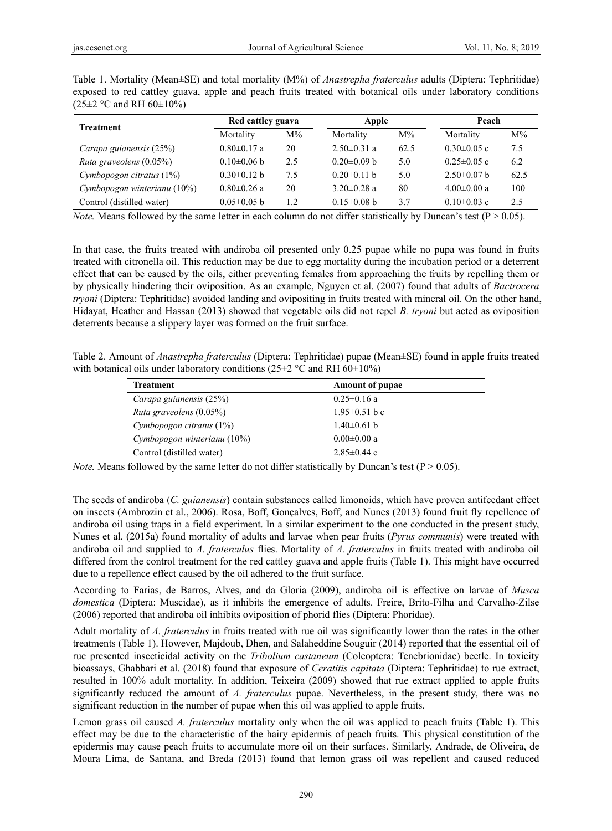| Treatment                   | Red cattley guava |       | Apple             |       | Peach             |       |
|-----------------------------|-------------------|-------|-------------------|-------|-------------------|-------|
|                             | Mortality         | $M\%$ | Mortality         | $M\%$ | Mortality         | $M\%$ |
| Carapa guianensis (25%)     | $0.80 \pm 0.17$ a | 20    | $2.50 \pm 0.31$ a | 62.5  | $0.30 \pm 0.05$ c | 7.5   |
| Ruta graveolens (0.05%)     | $0.10\pm0.06$ b   | 2.5   | $0.20 \pm 0.09$ b | 5.0   | $0.25 \pm 0.05$ c | 6.2   |
| Cymbopogon citratus (1%)    | $0.30\pm0.12$ b   | 7.5   | $0.20 \pm 0.11$ h | 5.0   | $2.50\pm0.07$ b   | 62.5  |
| Cymbopogon winterianu (10%) | $0.80 \pm 0.26$ a | 20    | $3.20 \pm 0.28$ a | 80    | $4.00 \pm 0.00$ a | 100   |
| Control (distilled water)   | $0.05 \pm 0.05$ b | 1.2   | $0.15 \pm 0.08$ b | 3.7   | $0.10 \pm 0.03$ c | 2.5   |

Table 1. Mortality (Mean±SE) and total mortality (M%) of *Anastrepha fraterculus* adults (Diptera: Tephritidae) exposed to red cattley guava, apple and peach fruits treated with botanical oils under laboratory conditions  $(25\pm2$  °C and RH 60 $\pm10\%$ )

*Note.* Means followed by the same letter in each column do not differ statistically by Duncan's test  $(P > 0.05)$ .

In that case, the fruits treated with andiroba oil presented only 0.25 pupae while no pupa was found in fruits treated with citronella oil. This reduction may be due to egg mortality during the incubation period or a deterrent effect that can be caused by the oils, either preventing females from approaching the fruits by repelling them or by physically hindering their oviposition. As an example, Nguyen et al. (2007) found that adults of *Bactrocera tryoni* (Diptera: Tephritidae) avoided landing and ovipositing in fruits treated with mineral oil. On the other hand, Hidayat, Heather and Hassan (2013) showed that vegetable oils did not repel *B. tryoni* but acted as oviposition deterrents because a slippery layer was formed on the fruit surface.

Table 2. Amount of *Anastrepha fraterculus* (Diptera: Tephritidae) pupae (Mean±SE) found in apple fruits treated with botanical oils under laboratory conditions ( $25\pm2$  °C and RH 60 $\pm10\%$ )

| <b>Treatment</b>            | <b>Amount of pupae</b> |  |
|-----------------------------|------------------------|--|
| Carapa guianensis (25%)     | $0.25 \pm 0.16$ a      |  |
| Ruta graveolens (0.05%)     | $1.95 \pm 0.51$ b c    |  |
| Cymbopogon citratus $(1\%)$ | $1.40\pm0.61$ b        |  |
| Cymbopogon winterianu (10%) | $0.00 \pm 0.00$ a      |  |
| Control (distilled water)   | $2.85 \pm 0.44$ c      |  |

*Note.* Means followed by the same letter do not differ statistically by Duncan's test ( $P > 0.05$ ).

The seeds of andiroba (*C. guianensis*) contain substances called limonoids, which have proven antifeedant effect on insects (Ambrozin et al., 2006). Rosa, Boff, Gonçalves, Boff, and Nunes (2013) found fruit fly repellence of andiroba oil using traps in a field experiment. In a similar experiment to the one conducted in the present study, Nunes et al. (2015a) found mortality of adults and larvae when pear fruits (*Pyrus communis*) were treated with andiroba oil and supplied to *A. fraterculus* flies. Mortality of *A. fraterculus* in fruits treated with andiroba oil differed from the control treatment for the red cattley guava and apple fruits (Table 1). This might have occurred due to a repellence effect caused by the oil adhered to the fruit surface.

According to Farias, de Barros, Alves, and da Gloria (2009), andiroba oil is effective on larvae of *Musca domestica* (Diptera: Muscidae), as it inhibits the emergence of adults. Freire, Brito-Filha and Carvalho-Zilse (2006) reported that andiroba oil inhibits oviposition of phorid flies (Diptera: Phoridae).

Adult mortality of *A. fraterculus* in fruits treated with rue oil was significantly lower than the rates in the other treatments (Table 1). However, Majdoub, Dhen, and Salaheddine Souguir (2014) reported that the essential oil of rue presented insecticidal activity on the *Tribolium castaneum* (Coleoptera: Tenebrionidae) beetle. In toxicity bioassays, Ghabbari et al. (2018) found that exposure of *Ceratitis capitata* (Diptera: Tephritidae) to rue extract, resulted in 100% adult mortality. In addition, Teixeira (2009) showed that rue extract applied to apple fruits significantly reduced the amount of *A. fraterculus* pupae. Nevertheless, in the present study, there was no significant reduction in the number of pupae when this oil was applied to apple fruits.

Lemon grass oil caused *A. fraterculus* mortality only when the oil was applied to peach fruits (Table 1). This effect may be due to the characteristic of the hairy epidermis of peach fruits. This physical constitution of the epidermis may cause peach fruits to accumulate more oil on their surfaces. Similarly, Andrade, de Oliveira, de Moura Lima, de Santana, and Breda (2013) found that lemon grass oil was repellent and caused reduced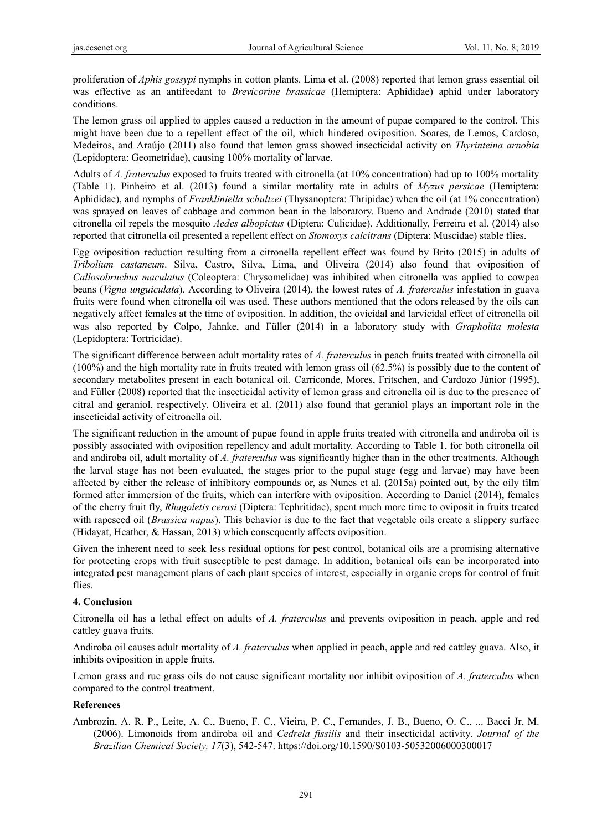proliferation of *Aphis gossypi* nymphs in cotton plants. Lima et al. (2008) reported that lemon grass essential oil was effective as an antifeedant to *Brevicorine brassicae* (Hemiptera: Aphididae) aphid under laboratory conditions.

The lemon grass oil applied to apples caused a reduction in the amount of pupae compared to the control. This might have been due to a repellent effect of the oil, which hindered oviposition. Soares, de Lemos, Cardoso, Medeiros, and Araújo (2011) also found that lemon grass showed insecticidal activity on *Thyrinteina arnobia* (Lepidoptera: Geometridae), causing 100% mortality of larvae.

Adults of *A. fraterculus* exposed to fruits treated with citronella (at 10% concentration) had up to 100% mortality (Table 1). Pinheiro et al. (2013) found a similar mortality rate in adults of *Myzus persicae* (Hemiptera: Aphididae), and nymphs of *Frankliniella schultzei* (Thysanoptera: Thripidae) when the oil (at 1% concentration) was sprayed on leaves of cabbage and common bean in the laboratory. Bueno and Andrade (2010) stated that citronella oil repels the mosquito *Aedes albopictus* (Diptera: Culicidae). Additionally, Ferreira et al. (2014) also reported that citronella oil presented a repellent effect on *Stomoxys calcitrans* (Diptera: Muscidae) stable flies.

Egg oviposition reduction resulting from a citronella repellent effect was found by Brito (2015) in adults of *Tribolium castaneum*. Silva, Castro, Silva, Lima, and Oliveira (2014) also found that oviposition of *Callosobruchus maculatus* (Coleoptera: Chrysomelidae) was inhibited when citronella was applied to cowpea beans (*Vigna unguiculata*). According to Oliveira (2014), the lowest rates of *A. fraterculus* infestation in guava fruits were found when citronella oil was used. These authors mentioned that the odors released by the oils can negatively affect females at the time of oviposition. In addition, the ovicidal and larvicidal effect of citronella oil was also reported by Colpo, Jahnke, and Füller (2014) in a laboratory study with *Grapholita molesta* (Lepidoptera: Tortricidae).

The significant difference between adult mortality rates of *A. fraterculus* in peach fruits treated with citronella oil (100%) and the high mortality rate in fruits treated with lemon grass oil (62.5%) is possibly due to the content of secondary metabolites present in each botanical oil. Carriconde, Mores, Fritschen, and Cardozo Júnior (1995), and Füller (2008) reported that the insecticidal activity of lemon grass and citronella oil is due to the presence of citral and geraniol, respectively. Oliveira et al. (2011) also found that geraniol plays an important role in the insecticidal activity of citronella oil.

The significant reduction in the amount of pupae found in apple fruits treated with citronella and andiroba oil is possibly associated with oviposition repellency and adult mortality. According to Table 1, for both citronella oil and andiroba oil, adult mortality of *A. fraterculus* was significantly higher than in the other treatments. Although the larval stage has not been evaluated, the stages prior to the pupal stage (egg and larvae) may have been affected by either the release of inhibitory compounds or, as Nunes et al. (2015a) pointed out, by the oily film formed after immersion of the fruits, which can interfere with oviposition. According to Daniel (2014), females of the cherry fruit fly, *Rhagoletis cerasi* (Diptera: Tephritidae), spent much more time to oviposit in fruits treated with rapeseed oil (*Brassica napus*). This behavior is due to the fact that vegetable oils create a slippery surface (Hidayat, Heather, & Hassan, 2013) which consequently affects oviposition.

Given the inherent need to seek less residual options for pest control, botanical oils are a promising alternative for protecting crops with fruit susceptible to pest damage. In addition, botanical oils can be incorporated into integrated pest management plans of each plant species of interest, especially in organic crops for control of fruit flies.

## **4. Conclusion**

Citronella oil has a lethal effect on adults of *A. fraterculus* and prevents oviposition in peach, apple and red cattley guava fruits.

Andiroba oil causes adult mortality of *A. fraterculus* when applied in peach, apple and red cattley guava. Also, it inhibits oviposition in apple fruits.

Lemon grass and rue grass oils do not cause significant mortality nor inhibit oviposition of *A. fraterculus* when compared to the control treatment.

## **References**

Ambrozin, A. R. P., Leite, A. C., Bueno, F. C., Vieira, P. C., Fernandes, J. B., Bueno, O. C., ... Bacci Jr, M. (2006). Limonoids from andiroba oil and *Cedrela fissilis* and their insecticidal activity. *Journal of the Brazilian Chemical Society, 17*(3), 542-547. https://doi.org/10.1590/S0103-50532006000300017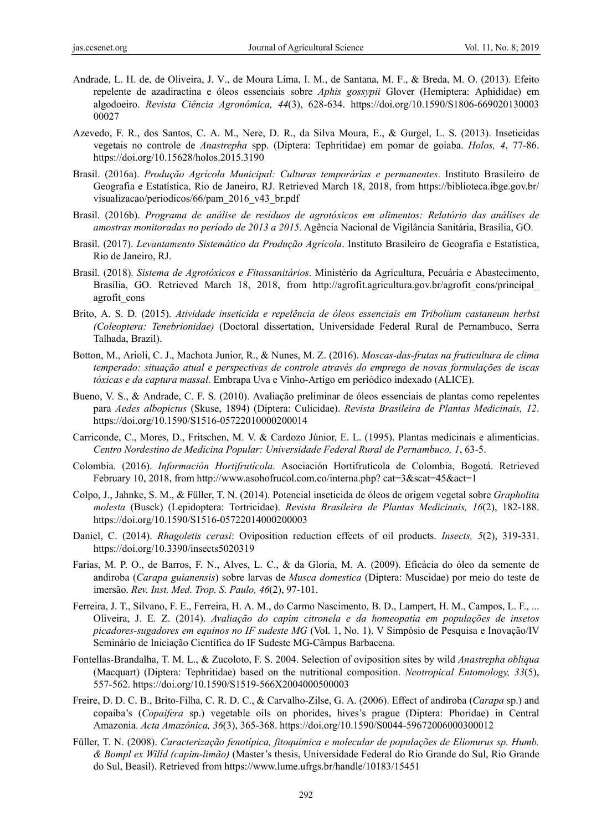- Andrade, L. H. de, de Oliveira, J. V., de Moura Lima, I. M., de Santana, M. F., & Breda, M. O. (2013). Efeito repelente de azadiractina e óleos essenciais sobre *Aphis gossypii* Glover (Hemiptera: Aphididae) em algodoeiro. *Revista Ciência Agronômica, 44*(3), 628-634. https://doi.org/10.1590/S1806-669020130003 00027
- Azevedo, F. R., dos Santos, C. A. M., Nere, D. R., da Silva Moura, E., & Gurgel, L. S. (2013). Inseticidas vegetais no controle de *Anastrepha* spp. (Diptera: Tephritidae) em pomar de goiaba. *Holos, 4*, 77-86. https://doi.org/10.15628/holos.2015.3190
- Brasil. (2016a). *Produção Agrícola Municipal: Culturas temporárias e permanentes*. Instituto Brasileiro de Geografia e Estatística, Rio de Janeiro, RJ. Retrieved March 18, 2018, from https://biblioteca.ibge.gov.br/ visualizacao/periodicos/66/pam\_2016\_v43\_br.pdf
- Brasil. (2016b). *Programa de análise de resíduos de agrotóxicos em alimentos: Relatório das análises de amostras monitoradas no período de 2013 a 2015*. Agência Nacional de Vigilância Sanitária, Brasília, GO.
- Brasil. (2017). *Levantamento Sistemático da Produção Agrícola*. Instituto Brasileiro de Geografia e Estatística, Rio de Janeiro, RJ.
- Brasil. (2018). *Sistema de Agrotóxicos e Fitossanitários*. Ministério da Agricultura, Pecuária e Abastecimento, Brasília, GO. Retrieved March 18, 2018, from http://agrofit.agricultura.gov.br/agrofit cons/principal agrofit\_cons
- Brito, A. S. D. (2015). *Atividade inseticida e repelência de óleos essenciais em Tribolium castaneum herbst (Coleoptera: Tenebrionidae)* (Doctoral dissertation, Universidade Federal Rural de Pernambuco, Serra Talhada, Brazil).
- Botton, M., Arioli, C. J., Machota Junior, R., & Nunes, M. Z. (2016). *Moscas-das-frutas na fruticultura de clima temperado: situação atual e perspectivas de controle através do emprego de novas formulações de iscas tóxicas e da captura massal*. Embrapa Uva e Vinho-Artigo em periódico indexado (ALICE).
- Bueno, V. S., & Andrade, C. F. S. (2010). Avaliação preliminar de óleos essenciais de plantas como repelentes para *Aedes albopictus* (Skuse, 1894) (Diptera: Culicidae). *Revista Brasileira de Plantas Medicinais, 12*. https://doi.org/10.1590/S1516-05722010000200014
- Carriconde, C., Mores, D., Fritschen, M. V. & Cardozo Júnior, E. L. (1995). Plantas medicinais e alimentícias. *Centro Nordestino de Medicina Popular: Universidade Federal Rural de Pernambuco, 1*, 63-5.
- Colombia. (2016). *Información Hortifrutícola*. Asociación Hortifrutícola de Colombia, Bogotá. Retrieved February 10, 2018, from http://www.asohofrucol.com.co/interna.php? cat=3&scat=45&act=1
- Colpo, J., Jahnke, S. M., & Füller, T. N. (2014). Potencial inseticida de óleos de origem vegetal sobre *Grapholita molesta* (Busck) (Lepidoptera: Tortricidae). *Revista Brasileira de Plantas Medicinais, 16*(2), 182-188. https://doi.org/10.1590/S1516-05722014000200003
- Daniel, C. (2014). *Rhagoletis cerasi*: Oviposition reduction effects of oil products. *Insects, 5*(2), 319-331. https://doi.org/10.3390/insects5020319
- Farias, M. P. O., de Barros, F. N., Alves, L. C., & da Gloria, M. A. (2009). Eficácia do óleo da semente de andiroba (*Carapa guianensis*) sobre larvas de *Musca domestica* (Diptera: Muscidae) por meio do teste de imersão. *Rev. Inst. Med. Trop. S. Paulo, 46*(2), 97-101.
- Ferreira, J. T., Silvano, F. E., Ferreira, H. A. M., do Carmo Nascimento, B. D., Lampert, H. M., Campos, L. F., ... Oliveira, J. E. Z. (2014). *Avaliação do capim citronela e da homeopatia em populações de insetos picadores-sugadores em equinos no IF sudeste MG* (Vol. 1, No. 1). V Simpósio de Pesquisa e Inovação/IV Seminário de Iniciação Científica do IF Sudeste MG-Câmpus Barbacena.
- Fontellas-Brandalha, T. M. L., & Zucoloto, F. S. 2004. Selection of oviposition sites by wild *Anastrepha obliqua* (Macquart) (Diptera: Tephritidae) based on the nutritional composition. *Neotropical Entomology, 33*(5), 557-562. https://doi.org/10.1590/S1519-566X2004000500003
- Freire, D. D. C. B., Brito-Filha, C. R. D. C., & Carvalho-Zilse, G. A. (2006). Effect of andiroba (*Carapa* sp.) and copaiba's (*Copaifera* sp.) vegetable oils on phorides, hives's prague (Diptera: Phoridae) in Central Amazonia. *Acta Amazônica, 36*(3), 365-368. https://doi.org/10.1590/S0044-59672006000300012
- Füller, T. N. (2008). *Caracterização fenotípica, fitoquímica e molecular de populações de Elionurus sp. Humb. & Bompl ex Willd (capim-limão)* (Master's thesis, Universidade Federal do Rio Grande do Sul, Rio Grande do Sul, Beasil). Retrieved from https://www.lume.ufrgs.br/handle/10183/15451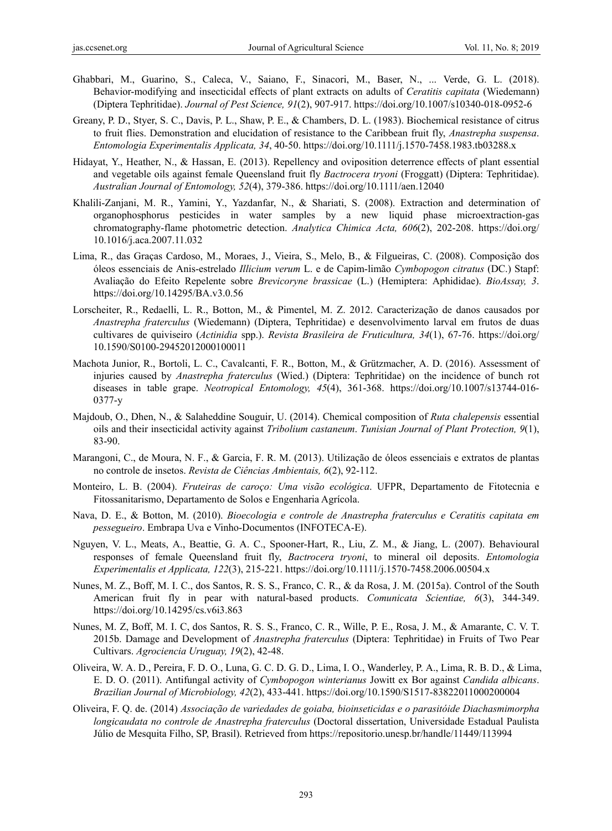- Ghabbari, M., Guarino, S., Caleca, V., Saiano, F., Sinacori, M., Baser, N., ... Verde, G. L. (2018). Behavior-modifying and insecticidal effects of plant extracts on adults of *Ceratitis capitata* (Wiedemann) (Diptera Tephritidae). *Journal of Pest Science, 91*(2), 907-917. https://doi.org/10.1007/s10340-018-0952-6
- Greany, P. D., Styer, S. C., Davis, P. L., Shaw, P. E., & Chambers, D. L. (1983). Biochemical resistance of citrus to fruit flies. Demonstration and elucidation of resistance to the Caribbean fruit fly, *Anastrepha suspensa*. *Entomologia Experimentalis Applicata, 34*, 40-50. https://doi.org/10.1111/j.1570-7458.1983.tb03288.x
- Hidayat, Y., Heather, N., & Hassan, E. (2013). Repellency and oviposition deterrence effects of plant essential and vegetable oils against female Queensland fruit fly *Bactrocera tryoni* (Froggatt) (Diptera: Tephritidae). *Australian Journal of Entomology, 52*(4), 379-386. https://doi.org/10.1111/aen.12040
- Khalili-Zanjani, M. R., Yamini, Y., Yazdanfar, N., & Shariati, S. (2008). Extraction and determination of organophosphorus pesticides in water samples by a new liquid phase microextraction-gas chromatography-flame photometric detection. *Analytica Chimica Acta, 606*(2), 202-208. https://doi.org/ 10.1016/j.aca.2007.11.032
- Lima, R., das Graças Cardoso, M., Moraes, J., Vieira, S., Melo, B., & Filgueiras, C. (2008). Composição dos óleos essenciais de Anis-estrelado *Illicium verum* L. e de Capim-limão *Cymbopogon citratus* (DC.) Stapf: Avaliação do Efeito Repelente sobre *Brevicoryne brassicae* (L.) (Hemiptera: Aphididae). *BioAssay, 3*. https://doi.org/10.14295/BA.v3.0.56
- Lorscheiter, R., Redaelli, L. R., Botton, M., & Pimentel, M. Z. 2012. Caracterização de danos causados por *Anastrepha fraterculus* (Wiedemann) (Diptera, Tephritidae) e desenvolvimento larval em frutos de duas cultivares de quiviseiro (*Actinidia* spp.). *Revista Brasileira de Fruticultura, 34*(1), 67-76. https://doi.org/ 10.1590/S0100-29452012000100011
- Machota Junior, R., Bortoli, L. C., Cavalcanti, F. R., Botton, M., & Grützmacher, A. D. (2016). Assessment of injuries caused by *Anastrepha fraterculus* (Wied.) (Diptera: Tephritidae) on the incidence of bunch rot diseases in table grape. *Neotropical Entomology, 45*(4), 361-368. https://doi.org/10.1007/s13744-016- 0377-y
- Majdoub, O., Dhen, N., & Salaheddine Souguir, U. (2014). Chemical composition of *Ruta chalepensis* essential oils and their insecticidal activity against *Tribolium castaneum*. *Tunisian Journal of Plant Protection, 9*(1), 83-90.
- Marangoni, C., de Moura, N. F., & Garcia, F. R. M. (2013). Utilização de óleos essenciais e extratos de plantas no controle de insetos. *Revista de Ciências Ambientais, 6*(2), 92-112.
- Monteiro, L. B. (2004). *Fruteiras de caroço: Uma visão ecológica*. UFPR, Departamento de Fitotecnia e Fitossanitarismo, Departamento de Solos e Engenharia Agrícola.
- Nava, D. E., & Botton, M. (2010). *Bioecologia e controle de Anastrepha fraterculus e Ceratitis capitata em pessegueiro*. Embrapa Uva e Vinho-Documentos (INFOTECA-E).
- Nguyen, V. L., Meats, A., Beattie, G. A. C., Spooner-Hart, R., Liu, Z. M., & Jiang, L. (2007). Behavioural responses of female Queensland fruit fly, *Bactrocera tryoni*, to mineral oil deposits. *Entomologia Experimentalis et Applicata, 122*(3), 215-221. https://doi.org/10.1111/j.1570-7458.2006.00504.x
- Nunes, M. Z., Boff, M. I. C., dos Santos, R. S. S., Franco, C. R., & da Rosa, J. M. (2015a). Control of the South American fruit fly in pear with natural-based products. *Comunicata Scientiae, 6*(3), 344-349. https://doi.org/10.14295/cs.v6i3.863
- Nunes, M. Z, Boff, M. I. C, dos Santos, R. S. S., Franco, C. R., Wille, P. E., Rosa, J. M., & Amarante, C. V. T. 2015b. Damage and Development of *Anastrepha fraterculus* (Diptera: Tephritidae) in Fruits of Two Pear Cultivars. *Agrociencia Uruguay, 19*(2), 42-48.
- Oliveira, W. A. D., Pereira, F. D. O., Luna, G. C. D. G. D., Lima, I. O., Wanderley, P. A., Lima, R. B. D., & Lima, E. D. O. (2011). Antifungal activity of *Cymbopogon winterianus* Jowitt ex Bor against *Candida albicans*. *Brazilian Journal of Microbiology, 42*(2), 433-441. https://doi.org/10.1590/S1517-83822011000200004
- Oliveira, F. Q. de. (2014) *Associação de variedades de goiaba, bioinseticidas e o parasitóide Diachasmimorpha longicaudata no controle de Anastrepha fraterculus* (Doctoral dissertation, Universidade Estadual Paulista Júlio de Mesquita Filho, SP, Brasil). Retrieved from https://repositorio.unesp.br/handle/11449/113994